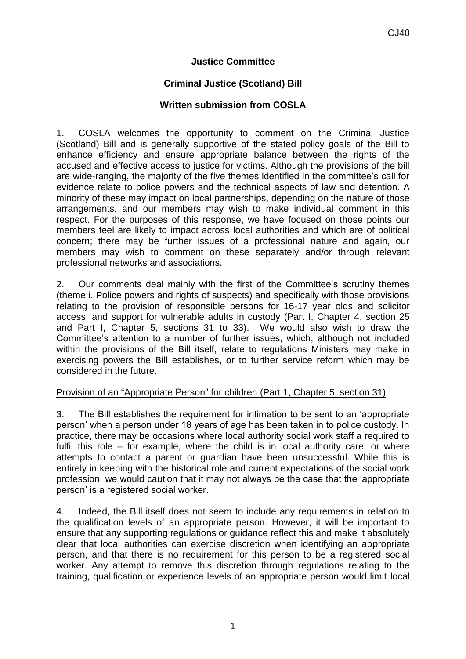# **Justice Committee**

# **Criminal Justice (Scotland) Bill**

### **Written submission from COSLA**

1. COSLA welcomes the opportunity to comment on the Criminal Justice (Scotland) Bill and is generally supportive of the stated policy goals of the Bill to enhance efficiency and ensure appropriate balance between the rights of the accused and effective access to justice for victims. Although the provisions of the bill are wide-ranging, the majority of the five themes identified in the committee's call for evidence relate to police powers and the technical aspects of law and detention. A minority of these may impact on local partnerships, depending on the nature of those arrangements, and our members may wish to make individual comment in this respect. For the purposes of this response, we have focused on those points our members feel are likely to impact across local authorities and which are of political concern; there may be further issues of a professional nature and again, our members may wish to comment on these separately and/or through relevant professional networks and associations.

2. Our comments deal mainly with the first of the Committee's scrutiny themes (theme i. Police powers and rights of suspects) and specifically with those provisions relating to the provision of responsible persons for 16-17 year olds and solicitor access, and support for vulnerable adults in custody (Part I, Chapter 4, section 25 and Part I, Chapter 5, sections 31 to 33). We would also wish to draw the Committee's attention to a number of further issues, which, although not included within the provisions of the Bill itself, relate to regulations Ministers may make in exercising powers the Bill establishes, or to further service reform which may be considered in the future.

#### Provision of an "Appropriate Person" for children (Part 1, Chapter 5, section 31)

3. The Bill establishes the requirement for intimation to be sent to an 'appropriate person' when a person under 18 years of age has been taken in to police custody. In practice, there may be occasions where local authority social work staff a required to fulfil this role – for example, where the child is in local authority care, or where attempts to contact a parent or guardian have been unsuccessful. While this is entirely in keeping with the historical role and current expectations of the social work profession, we would caution that it may not always be the case that the 'appropriate person' is a registered social worker.

4. Indeed, the Bill itself does not seem to include any requirements in relation to the qualification levels of an appropriate person. However, it will be important to ensure that any supporting regulations or guidance reflect this and make it absolutely clear that local authorities can exercise discretion when identifying an appropriate person, and that there is no requirement for this person to be a registered social worker. Any attempt to remove this discretion through regulations relating to the training, qualification or experience levels of an appropriate person would limit local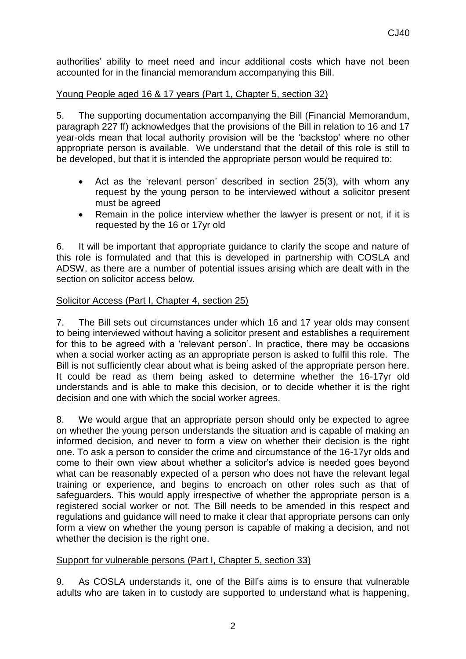authorities' ability to meet need and incur additional costs which have not been accounted for in the financial memorandum accompanying this Bill.

## Young People aged 16 & 17 years (Part 1, Chapter 5, section 32)

5. The supporting documentation accompanying the Bill (Financial Memorandum, paragraph 227 ff) acknowledges that the provisions of the Bill in relation to 16 and 17 year-olds mean that local authority provision will be the 'backstop' where no other appropriate person is available. We understand that the detail of this role is still to be developed, but that it is intended the appropriate person would be required to:

- Act as the 'relevant person' described in section 25(3), with whom any request by the young person to be interviewed without a solicitor present must be agreed
- Remain in the police interview whether the lawyer is present or not, if it is requested by the 16 or 17yr old

6. It will be important that appropriate guidance to clarify the scope and nature of this role is formulated and that this is developed in partnership with COSLA and ADSW, as there are a number of potential issues arising which are dealt with in the section on solicitor access below.

## Solicitor Access (Part I, Chapter 4, section 25)

7. The Bill sets out circumstances under which 16 and 17 year olds may consent to being interviewed without having a solicitor present and establishes a requirement for this to be agreed with a 'relevant person'. In practice, there may be occasions when a social worker acting as an appropriate person is asked to fulfil this role. The Bill is not sufficiently clear about what is being asked of the appropriate person here. It could be read as them being asked to determine whether the 16-17yr old understands and is able to make this decision, or to decide whether it is the right decision and one with which the social worker agrees.

8. We would argue that an appropriate person should only be expected to agree on whether the young person understands the situation and is capable of making an informed decision, and never to form a view on whether their decision is the right one. To ask a person to consider the crime and circumstance of the 16-17yr olds and come to their own view about whether a solicitor's advice is needed goes beyond what can be reasonably expected of a person who does not have the relevant legal training or experience, and begins to encroach on other roles such as that of safeguarders. This would apply irrespective of whether the appropriate person is a registered social worker or not. The Bill needs to be amended in this respect and regulations and guidance will need to make it clear that appropriate persons can only form a view on whether the young person is capable of making a decision, and not whether the decision is the right one.

## Support for vulnerable persons (Part I, Chapter 5, section 33)

9. As COSLA understands it, one of the Bill's aims is to ensure that vulnerable adults who are taken in to custody are supported to understand what is happening,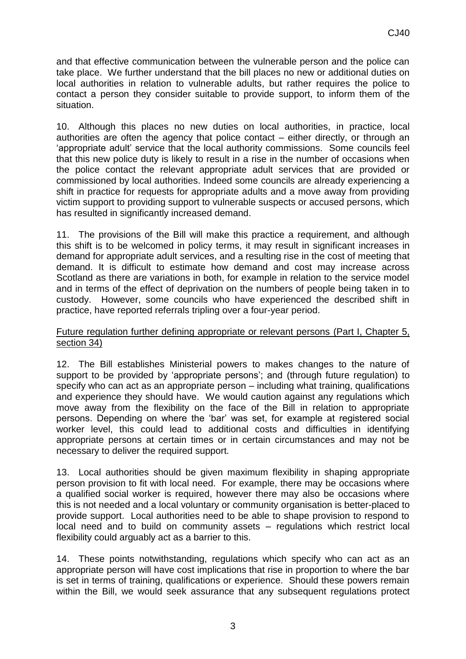and that effective communication between the vulnerable person and the police can take place. We further understand that the bill places no new or additional duties on local authorities in relation to vulnerable adults, but rather requires the police to contact a person they consider suitable to provide support, to inform them of the situation.

10. Although this places no new duties on local authorities, in practice, local authorities are often the agency that police contact – either directly, or through an 'appropriate adult' service that the local authority commissions. Some councils feel that this new police duty is likely to result in a rise in the number of occasions when the police contact the relevant appropriate adult services that are provided or commissioned by local authorities. Indeed some councils are already experiencing a shift in practice for requests for appropriate adults and a move away from providing victim support to providing support to vulnerable suspects or accused persons, which has resulted in significantly increased demand.

11. The provisions of the Bill will make this practice a requirement, and although this shift is to be welcomed in policy terms, it may result in significant increases in demand for appropriate adult services, and a resulting rise in the cost of meeting that demand. It is difficult to estimate how demand and cost may increase across Scotland as there are variations in both, for example in relation to the service model and in terms of the effect of deprivation on the numbers of people being taken in to custody. However, some councils who have experienced the described shift in practice, have reported referrals tripling over a four-year period.

#### Future regulation further defining appropriate or relevant persons (Part I, Chapter 5, section 34)

12. The Bill establishes Ministerial powers to makes changes to the nature of support to be provided by 'appropriate persons'; and (through future regulation) to specify who can act as an appropriate person – including what training, qualifications and experience they should have. We would caution against any regulations which move away from the flexibility on the face of the Bill in relation to appropriate persons. Depending on where the 'bar' was set, for example at registered social worker level, this could lead to additional costs and difficulties in identifying appropriate persons at certain times or in certain circumstances and may not be necessary to deliver the required support.

13. Local authorities should be given maximum flexibility in shaping appropriate person provision to fit with local need. For example, there may be occasions where a qualified social worker is required, however there may also be occasions where this is not needed and a local voluntary or community organisation is better-placed to provide support. Local authorities need to be able to shape provision to respond to local need and to build on community assets – regulations which restrict local flexibility could arguably act as a barrier to this.

14. These points notwithstanding, regulations which specify who can act as an appropriate person will have cost implications that rise in proportion to where the bar is set in terms of training, qualifications or experience. Should these powers remain within the Bill, we would seek assurance that any subsequent regulations protect